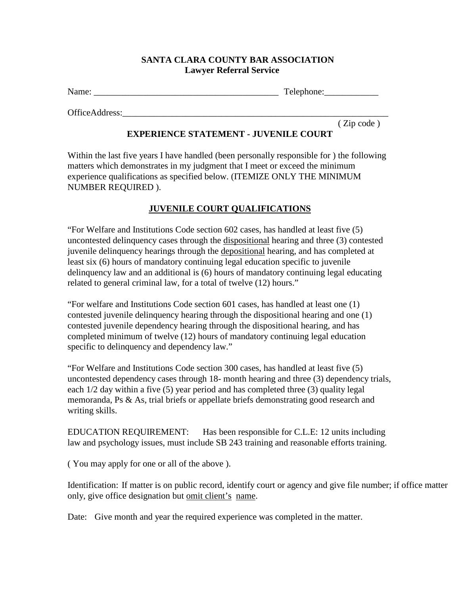## **SANTA CLARA COUNTY BAR ASSOCIATION Lawyer Referral Service**

Name: \_\_\_\_\_\_\_\_\_\_\_\_\_\_\_\_\_\_\_\_\_\_\_\_\_\_\_\_\_\_\_\_\_\_\_\_\_\_\_\_\_ Telephone:\_\_\_\_\_\_\_\_\_\_\_\_

OfficeAddress:

( Zip code )

## **EXPERIENCE STATEMENT - JUVENILE COURT**

Within the last five years I have handled (been personally responsible for ) the following matters which demonstrates in my judgment that I meet or exceed the minimum experience qualifications as specified below. (ITEMIZE ONLY THE MINIMUM NUMBER REQUIRED ).

## **JUVENILE COURT QUALIFICATIONS**

"For Welfare and Institutions Code section 602 cases, has handled at least five (5) uncontested delinquency cases through the dispositional hearing and three (3) contested juvenile delinquency hearings through the depositional hearing, and has completed at least six (6) hours of mandatory continuing legal education specific to juvenile delinquency law and an additional is (6) hours of mandatory continuing legal educating related to general criminal law, for a total of twelve (12) hours."

"For welfare and Institutions Code section 601 cases, has handled at least one (1) contested juvenile delinquency hearing through the dispositional hearing and one (1) contested juvenile dependency hearing through the dispositional hearing, and has completed minimum of twelve (12) hours of mandatory continuing legal education specific to delinquency and dependency law."

"For Welfare and Institutions Code section 300 cases, has handled at least five (5) uncontested dependency cases through 18- month hearing and three (3) dependency trials, each 1/2 day within a five (5) year period and has completed three (3) quality legal memoranda, Ps & As, trial briefs or appellate briefs demonstrating good research and writing skills.

EDUCATION REQUIREMENT: Has been responsible for C.L.E: 12 units including law and psychology issues, must include SB 243 training and reasonable efforts training.

( You may apply for one or all of the above ).

Identification: If matter is on public record, identify court or agency and give file number; if office matter only, give office designation but omit client's name.

Date: Give month and year the required experience was completed in the matter.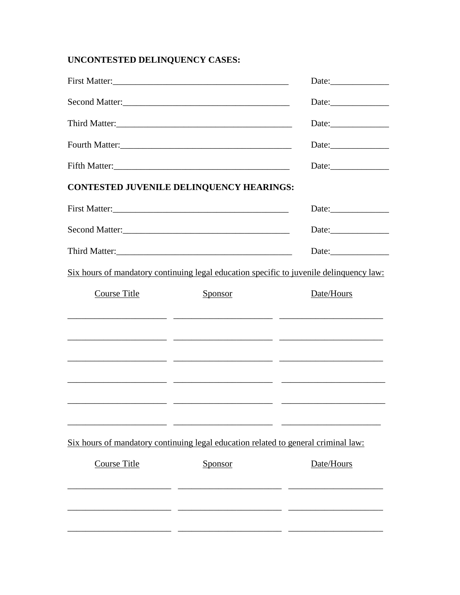## UNCONTESTED DELINQUENCY CASES:

| First Matter:                                                                      |                       |                                                                                         |
|------------------------------------------------------------------------------------|-----------------------|-----------------------------------------------------------------------------------------|
| Second Matter:                                                                     |                       | Date:                                                                                   |
|                                                                                    |                       |                                                                                         |
|                                                                                    |                       |                                                                                         |
| CONTESTED JUVENILE DELINQUENCY HEARINGS:                                           |                       |                                                                                         |
|                                                                                    | Date: $\qquad \qquad$ |                                                                                         |
| Second Matter:                                                                     |                       |                                                                                         |
|                                                                                    |                       | Date:                                                                                   |
|                                                                                    |                       | Six hours of mandatory continuing legal education specific to juvenile delinquency law: |
| Course Title                                                                       | Sponsor               | Date/Hours                                                                              |
|                                                                                    |                       |                                                                                         |
|                                                                                    |                       |                                                                                         |
| Six hours of mandatory continuing legal education related to general criminal law: |                       |                                                                                         |
| <b>Course Title</b>                                                                | Sponsor               | Date/Hours                                                                              |
|                                                                                    |                       |                                                                                         |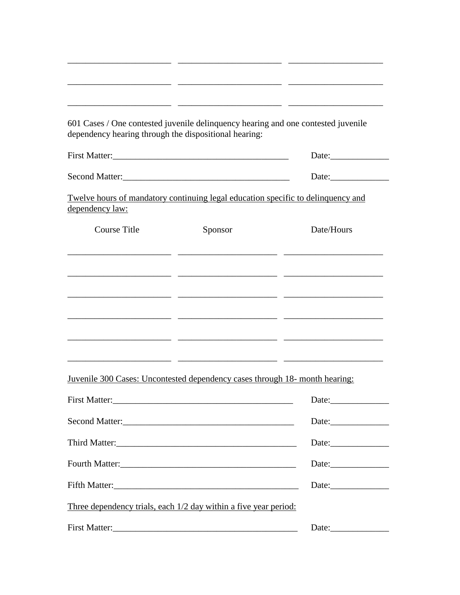| 601 Cases / One contested juvenile delinquency hearing and one contested juvenile<br>dependency hearing through the dispositional hearing: |                                                                                                              |                       |
|--------------------------------------------------------------------------------------------------------------------------------------------|--------------------------------------------------------------------------------------------------------------|-----------------------|
|                                                                                                                                            |                                                                                                              |                       |
| Second Matter:                                                                                                                             |                                                                                                              | Date: $\qquad \qquad$ |
| Twelve hours of mandatory continuing legal education specific to delinquency and<br>dependency law:                                        |                                                                                                              |                       |
| <b>Course Title</b>                                                                                                                        | Sponsor                                                                                                      | Date/Hours            |
|                                                                                                                                            | <u> 1999 - Jan James James, martin amerikan (h. 1989)</u>                                                    |                       |
|                                                                                                                                            |                                                                                                              |                       |
|                                                                                                                                            |                                                                                                              |                       |
|                                                                                                                                            |                                                                                                              |                       |
|                                                                                                                                            |                                                                                                              |                       |
|                                                                                                                                            | <u> 1999 - Jan James James (h. 1989).</u> 1990 - James James James (h. 1989). Indiana eta batarra (h. 1900). |                       |
| Juvenile 300 Cases: Uncontested dependency cases through 18- month hearing:                                                                |                                                                                                              |                       |
|                                                                                                                                            | Date:                                                                                                        |                       |
|                                                                                                                                            | Date:                                                                                                        |                       |
|                                                                                                                                            | Date:                                                                                                        |                       |
|                                                                                                                                            |                                                                                                              |                       |
|                                                                                                                                            |                                                                                                              |                       |
| Three dependency trials, each 1/2 day within a five year period:                                                                           |                                                                                                              |                       |
|                                                                                                                                            | Date:                                                                                                        |                       |

\_\_\_\_\_\_\_\_\_\_\_\_\_\_\_\_\_\_\_\_\_\_\_ \_\_\_\_\_\_\_\_\_\_\_\_\_\_\_\_\_\_\_\_\_\_\_ \_\_\_\_\_\_\_\_\_\_\_\_\_\_\_\_\_\_\_\_\_